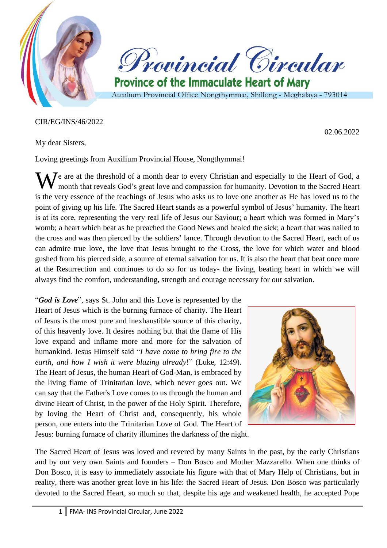

## CIR/EG/INS/46/2022

My dear Sisters,

02.06.2022

Loving greetings from Auxilium Provincial House, Nongthymmai!

We are at the threshold of a month dear to every Christian and especially to the Heart of God, a month that reveals God's great love and compassion for humanity. Devotion to the Sacred Heart month that reveals God's great love and compassion for humanity. Devotion to the Sacred Heart is the very essence of the teachings of Jesus who asks us to love one another as He has loved us to the point of giving up his life. The Sacred Heart stands as a powerful symbol of Jesus' humanity. The heart is at its core, representing the very real life of Jesus our Saviour; a heart which was formed in Mary's womb; a heart which beat as he preached the Good News and healed the sick; a heart that was nailed to the cross and was then pierced by the soldiers' lance. Through devotion to the Sacred Heart, each of us can admire true love, the love that Jesus brought to the Cross, the love for which water and blood gushed from his pierced side, a source of eternal salvation for us. It is also the heart that beat once more at the Resurrection and continues to do so for us today- the living, beating heart in which we will always find the comfort, understanding, strength and courage necessary for our salvation.

"*God is Love*", says St. John and this Love is represented by the Heart of Jesus which is the burning furnace of charity. The Heart of Jesus is the most pure and inexhaustible source of this charity, of this heavenly love. It desires nothing but that the flame of His love expand and inflame more and more for the salvation of humankind. Jesus Himself said "*I have come to bring fire to the earth, and how I wish it were blazing already*!" (Luke, 12:49). The Heart of Jesus, the human Heart of God-Man, is embraced by the living flame of Trinitarian love, which never goes out. We can say that the Father's Love comes to us through the human and divine Heart of Christ, in the power of the Holy Spirit. Therefore, by loving the Heart of Christ and, consequently, his whole person, one enters into the Trinitarian Love of God. The Heart of



Jesus: burning furnace of charity illumines the darkness of the night.

The Sacred Heart of Jesus was loved and revered by many Saints in the past, by the early Christians and by our very own Saints and founders – Don Bosco and Mother Mazzarello. When one thinks of Don Bosco, it is easy to immediately associate his figure with that of Mary Help of Christians, but in reality, there was another great love in his life: the Sacred Heart of Jesus. Don Bosco was particularly devoted to the Sacred Heart, so much so that, despite his age and weakened health, he accepted Pope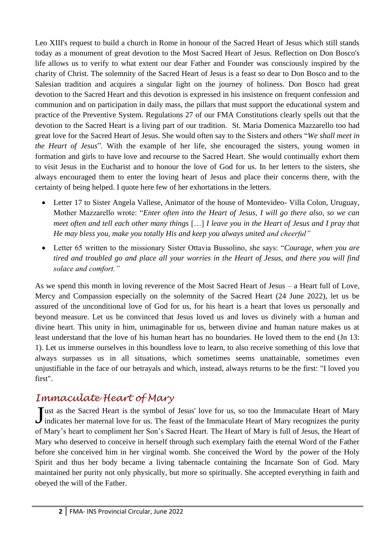Leo XIII's request to build a church in Rome in honour of the Sacred Heart of Jesus which still stands today as a monument of great devotion to the Most Sacred Heart of Jesus. Reflection on Don Bosco's life allows us to verify to what extent our dear Father and Founder was consciously inspired by the charity of Christ. The solemnity of the Sacred Heart of Jesus is a feast so dear to Don Bosco and to the Salesian tradition and acquires a singular light on the journey of holiness. Don Bosco had great devotion to the Sacred Heart and this devotion is expressed in his insistence on frequent confession and communion and on participation in daily mass, the pillars that must support the educational system and practice of the Preventive System. Regulations 27 of our FMA Constitutions clearly spells out that the devotion to the Sacred Heart is a living part of our tradition. St. Maria Domenica Mazzarello too had great love for the Sacred Heart of Jesus. She would often say to the Sisters and others "*We shall meet in the Heart of Jesus*". With the example of her life, she encouraged the sisters, young women in formation and girls to have love and recourse to the Sacred Heart. She would continually exhort them to visit Jesus in the Eucharist and to honour the love of God for us. In her letters to the sisters, she always encouraged them to enter the loving heart of Jesus and place their concerns there, with the certainty of being helped. I quote here few of her exhortations in the letters.

- Letter 17 to Sister Angela Vallese, Animator of the house of Montevideo- Villa Colon, Uruguay, Mother Mazzarello wrote: "*Enter often into the Heart of Jesus, I will go there also, so we can meet often and tell each other many things* […] *I leave you in the Heart of Jesus and I pray that He may bless you, make you totally His and keep you always united and cheerful"*
- Letter 65 written to the missionary Sister Ottavia Bussolino, she says: "*Courage, when you are tired and troubled go and place all your worries in the Heart of Jesus, and there you will find solace and comfort."*

As we spend this month in loving reverence of the Most Sacred Heart of Jesus – a Heart full of Love, Mercy and Compassion especially on the solemnity of the Sacred Heart (24 June 2022), let us be assured of the unconditional love of God for us, for his heart is a heart that loves us personally and beyond measure. Let us be convinced that Jesus loved us and loves us divinely with a human and divine heart. This unity in him, unimaginable for us, between divine and human nature makes us at least understand that the love of his human heart has no boundaries. He loved them to the end (Jn 13: 1). Let us immerse ourselves in this boundless love to learn, to also receive something of this love that always surpasses us in all situations, which sometimes seems unattainable, sometimes even unjustifiable in the face of our betrayals and which, instead, always returns to be the first: "I loved you first".

## *Immaculate Heart of Mary*

Just as the Sacred Heart is the symbol of Jesus' love for us, so too the Immaculate Heart of Mary indicates her maternal love for us. The feast of the Immaculate Heart of Mary recognizes the purity I indicates her maternal love for us. The feast of the Immaculate Heart of Mary recognizes the purity of Mary's heart to compliment her Son's Sacred Heart. The Heart of Mary is full of Jesus, the Heart of Mary who deserved to conceive in herself through such exemplary faith the eternal Word of the Father before she conceived him in her virginal womb. She conceived the Word by the power of the Holy Spirit and thus her body became a living tabernacle containing the Incarnate Son of God. Mary maintained her purity not only physically, but more so spiritually. She accepted everything in faith and obeyed the will of the Father.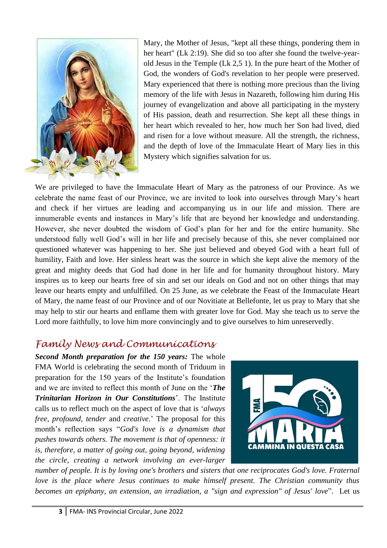

Mary, the Mother of Jesus, "kept all these things, pondering them in her heart" (Lk 2:19). She did so too after she found the twelve-yearold Jesus in the Temple (Lk 2,5 1). In the pure heart of the Mother of God, the wonders of God's revelation to her people were preserved. Mary experienced that there is nothing more precious than the living memory of the life with Jesus in Nazareth, following him during His journey of evangelization and above all participating in the mystery of His passion, death and resurrection. She kept all these things in her heart which revealed to her, how much her Son had lived, died and risen for a love without measure. All the strength, the richness, and the depth of love of the Immaculate Heart of Mary lies in this Mystery which signifies salvation for us.

We are privileged to have the Immaculate Heart of Mary as the patroness of our Province. As we celebrate the name feast of our Province, we are invited to look into ourselves through Mary's heart and check if her virtues are leading and accompanying us in our life and mission. There are innumerable events and instances in Mary's life that are beyond her knowledge and understanding. However, she never doubted the wisdom of God's plan for her and for the entire humanity. She understood fully well God's will in her life and precisely because of this, she never complained nor questioned whatever was happening to her. She just believed and obeyed God with a heart full of humility, Faith and love. Her sinless heart was the source in which she kept alive the memory of the great and mighty deeds that God had done in her life and for humanity throughout history. Mary inspires us to keep our hearts free of sin and set our ideals on God and not on other things that may leave our hearts empty and unfulfilled. On 25 June, as we celebrate the Feast of the Immaculate Heart of Mary, the name feast of our Province and of our Novitiate at Bellefonte, let us pray to Mary that she may help to stir our hearts and enflame them with greater love for God. May she teach us to serve the Lord more faithfully, to love him more convincingly and to give ourselves to him unreservedly.

## *Family News and Communications*

*Second Month preparation for the 150 years:* The whole FMA World is celebrating the second month of Triduum in preparation for the 150 years of the Institute's foundation and we are invited to reflect this month of June on the '*The Trinitarian Horizon in Our Constitutions*'. The Institute calls us to reflect much on the aspect of love that is '*always free, profound, tender* and *creative.*' The proposal for this month's reflection says "*God's love is a dynamism that pushes towards others. The movement is that of openness: it is, therefore, a matter of going out, going beyond, widening the circle, creating a network involving an ever-larger* 



*number of people. It is by loving one's brothers and sisters that one reciprocates God's love. Fraternal love is the place where Jesus continues to make himself present. The Christian community thus becomes an epiphany, an extension, an irradiation, a "sign and expression" of Jesus' love*". Let us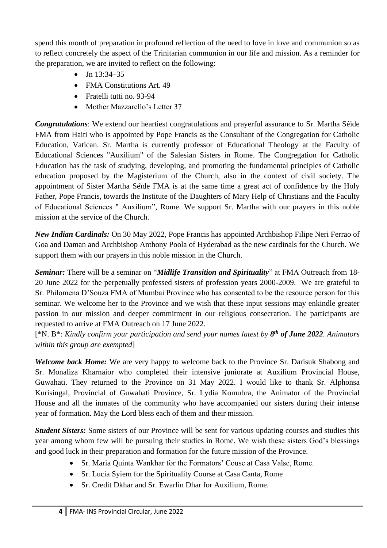spend this month of preparation in profound reflection of the need to love in love and communion so as to reflect concretely the aspect of the Trinitarian communion in our life and mission. As a reminder for the preparation, we are invited to reflect on the following:

- Jn 13:34–35
- FMA Constitutions Art. 49
- Fratelli tutti no. 93-94
- Mother Mazzarello's Letter 37

*Congratulations*: We extend our heartiest congratulations and prayerful assurance to Sr. Martha Séïde FMA from Haiti who is appointed by Pope Francis as the Consultant of the Congregation for Catholic Education, Vatican. Sr. Martha is currently professor of Educational Theology at the Faculty of Educational Sciences "Auxilium" of the Salesian Sisters in Rome. The Congregation for Catholic Education has the task of studying, developing, and promoting the fundamental principles of Catholic education proposed by the Magisterium of the Church, also in the context of civil society. The appointment of Sister Martha Séïde FMA is at the same time a great act of confidence by the Holy Father, Pope Francis, towards the Institute of the Daughters of Mary Help of Christians and the Faculty of Educational Sciences " Auxilium", Rome. We support Sr. Martha with our prayers in this noble mission at the service of the Church.

*New Indian Cardinals:* On 30 May 2022, Pope Francis has appointed Archbishop Filipe Neri Ferrao of Goa and Daman and Archbishop Anthony Poola of Hyderabad as the new cardinals for the Church. We support them with our prayers in this noble mission in the Church.

*Seminar:* There will be a seminar on "*Midlife Transition and Spirituality*" at FMA Outreach from 18- 20 June 2022 for the perpetually professed sisters of profession years 2000-2009. We are grateful to Sr. Philomena D'Souza FMA of Mumbai Province who has consented to be the resource person for this seminar. We welcome her to the Province and we wish that these input sessions may enkindle greater passion in our mission and deeper commitment in our religious consecration. The participants are requested to arrive at FMA Outreach on 17 June 2022.

[\*N. B\*: *Kindly confirm your participation and send your names latest by 8 th of June 2022. Animators within this group are exempted*]

*Welcome back Home:* We are very happy to welcome back to the Province Sr. Darisuk Shabong and Sr. Monaliza Kharnaior who completed their intensive juniorate at Auxilium Provincial House, Guwahati. They returned to the Province on 31 May 2022. I would like to thank Sr. Alphonsa Kurisingal, Provincial of Guwahati Province, Sr. Lydia Komuhra, the Animator of the Provincial House and all the inmates of the community who have accompanied our sisters during their intense year of formation. May the Lord bless each of them and their mission.

*Student Sisters:* Some sisters of our Province will be sent for various updating courses and studies this year among whom few will be pursuing their studies in Rome. We wish these sisters God's blessings and good luck in their preparation and formation for the future mission of the Province.

- Sr. Maria Quinta Wankhar for the Formators' Couse at Casa Valse, Rome.
- Sr. Lucia Syiem for the Spirituality Course at Casa Canta, Rome
- Sr. Credit Dkhar and Sr. Ewarlin Dhar for Auxilium, Rome.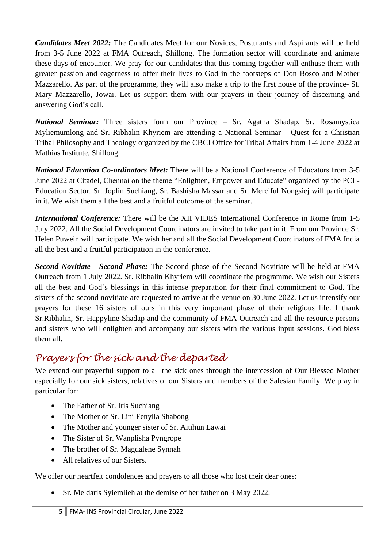*Candidates Meet 2022:* The Candidates Meet for our Novices, Postulants and Aspirants will be held from 3-5 June 2022 at FMA Outreach, Shillong. The formation sector will coordinate and animate these days of encounter. We pray for our candidates that this coming together will enthuse them with greater passion and eagerness to offer their lives to God in the footsteps of Don Bosco and Mother Mazzarello. As part of the programme, they will also make a trip to the first house of the province- St. Mary Mazzarello, Jowai. Let us support them with our prayers in their journey of discerning and answering God's call.

*National Seminar:* Three sisters form our Province – Sr. Agatha Shadap, Sr. Rosamystica Myliemumlong and Sr. Ribhalin Khyriem are attending a National Seminar – Quest for a Christian Tribal Philosophy and Theology organized by the CBCI Office for Tribal Affairs from 1-4 June 2022 at Mathias Institute, Shillong.

*National Education Co-ordinators Meet:* There will be a National Conference of Educators from 3-5 June 2022 at Citadel, Chennai on the theme "Enlighten, Empower and Educate" organized by the PCI - Education Sector. Sr. Joplin Suchiang, Sr. Bashisha Massar and Sr. Merciful Nongsiej will participate in it. We wish them all the best and a fruitful outcome of the seminar.

*International Conference:* There will be the XII VIDES International Conference in Rome from 1-5 July 2022. All the Social Development Coordinators are invited to take part in it. From our Province Sr. Helen Puwein will participate. We wish her and all the Social Development Coordinators of FMA India all the best and a fruitful participation in the conference.

*Second Novitiate - Second Phase:* The Second phase of the Second Novitiate will be held at FMA Outreach from 1 July 2022. Sr. Ribhalin Khyriem will coordinate the programme. We wish our Sisters all the best and God's blessings in this intense preparation for their final commitment to God. The sisters of the second novitiate are requested to arrive at the venue on 30 June 2022. Let us intensify our prayers for these 16 sisters of ours in this very important phase of their religious life. I thank Sr.Ribhalin, Sr. Happyline Shadap and the community of FMA Outreach and all the resource persons and sisters who will enlighten and accompany our sisters with the various input sessions. God bless them all.

## *Prayers for the sick and the departed*

We extend our prayerful support to all the sick ones through the intercession of Our Blessed Mother especially for our sick sisters, relatives of our Sisters and members of the Salesian Family. We pray in particular for:

- The Father of Sr. Iris Suchiang
- The Mother of Sr. Lini Fenylla Shabong
- The Mother and younger sister of Sr. Aitihun Lawai
- The Sister of Sr. Wanplisha Pyngrope
- The brother of Sr. Magdalene Synnah
- All relatives of our Sisters.

We offer our heartfelt condolences and prayers to all those who lost their dear ones:

• Sr. Meldaris Syiemlieh at the demise of her father on 3 May 2022.